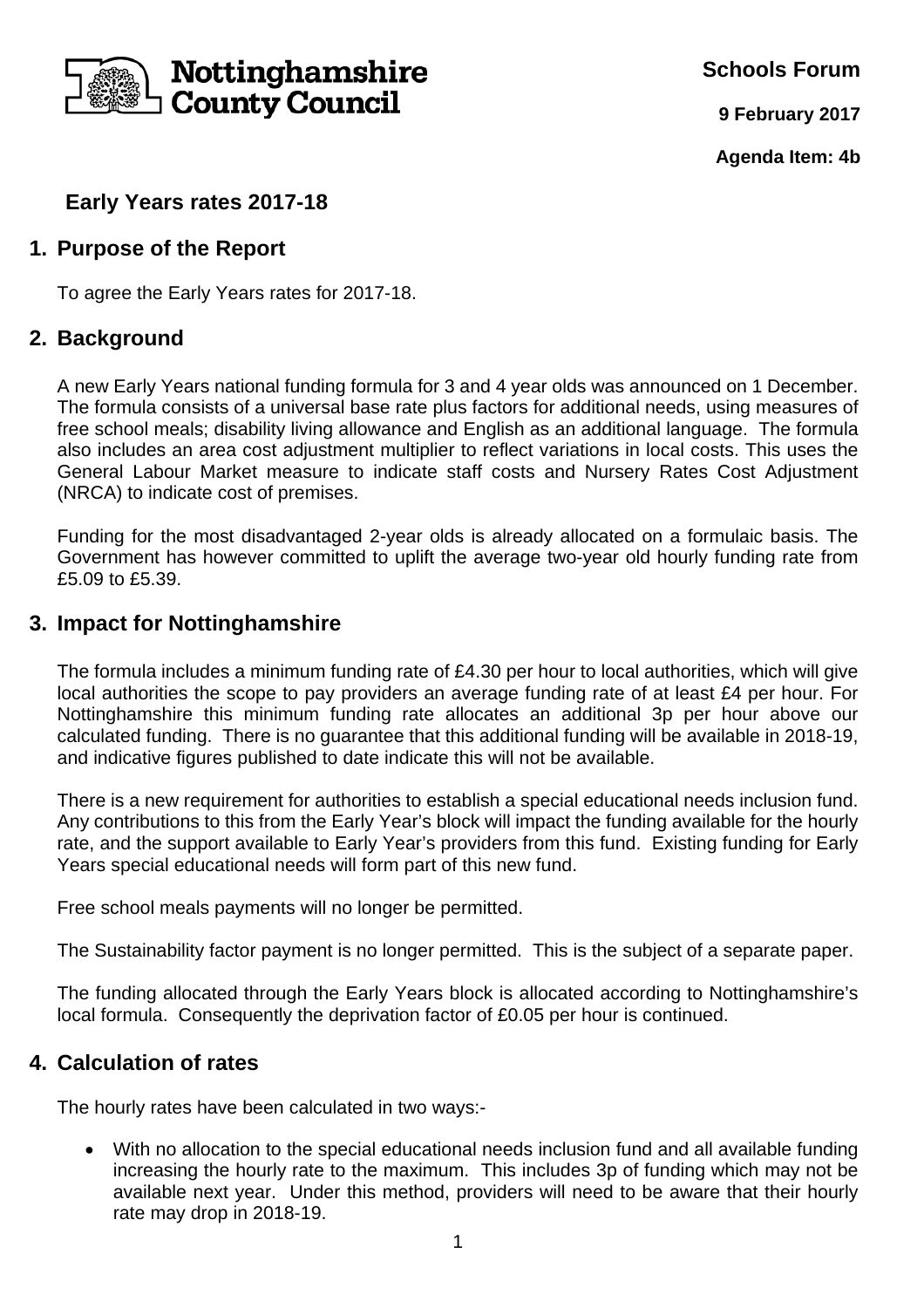

**Schools Forum**

**9 February 2017**

**Agenda Item: 4b** 

# **Early Years rates 2017-18**

### **1. Purpose of the Report**

To agree the Early Years rates for 2017-18.

#### **2. Background**

A new Early Years national funding formula for 3 and 4 year olds was announced on 1 December. The formula consists of a universal base rate plus factors for additional needs, using measures of free school meals; disability living allowance and English as an additional language. The formula also includes an area cost adjustment multiplier to reflect variations in local costs. This uses the General Labour Market measure to indicate staff costs and Nursery Rates Cost Adjustment (NRCA) to indicate cost of premises.

Funding for the most disadvantaged 2-year olds is already allocated on a formulaic basis. The Government has however committed to uplift the average two-year old hourly funding rate from £5.09 to £5.39.

## **3. Impact for Nottinghamshire**

The formula includes a minimum funding rate of £4.30 per hour to local authorities, which will give local authorities the scope to pay providers an average funding rate of at least £4 per hour. For Nottinghamshire this minimum funding rate allocates an additional 3p per hour above our calculated funding. There is no guarantee that this additional funding will be available in 2018-19, and indicative figures published to date indicate this will not be available.

There is a new requirement for authorities to establish a special educational needs inclusion fund. Any contributions to this from the Early Year's block will impact the funding available for the hourly rate, and the support available to Early Year's providers from this fund. Existing funding for Early Years special educational needs will form part of this new fund.

Free school meals payments will no longer be permitted.

The Sustainability factor payment is no longer permitted. This is the subject of a separate paper.

The funding allocated through the Early Years block is allocated according to Nottinghamshire's local formula. Consequently the deprivation factor of £0.05 per hour is continued.

## **4. Calculation of rates**

The hourly rates have been calculated in two ways:-

 With no allocation to the special educational needs inclusion fund and all available funding increasing the hourly rate to the maximum. This includes 3p of funding which may not be available next year. Under this method, providers will need to be aware that their hourly rate may drop in 2018-19.